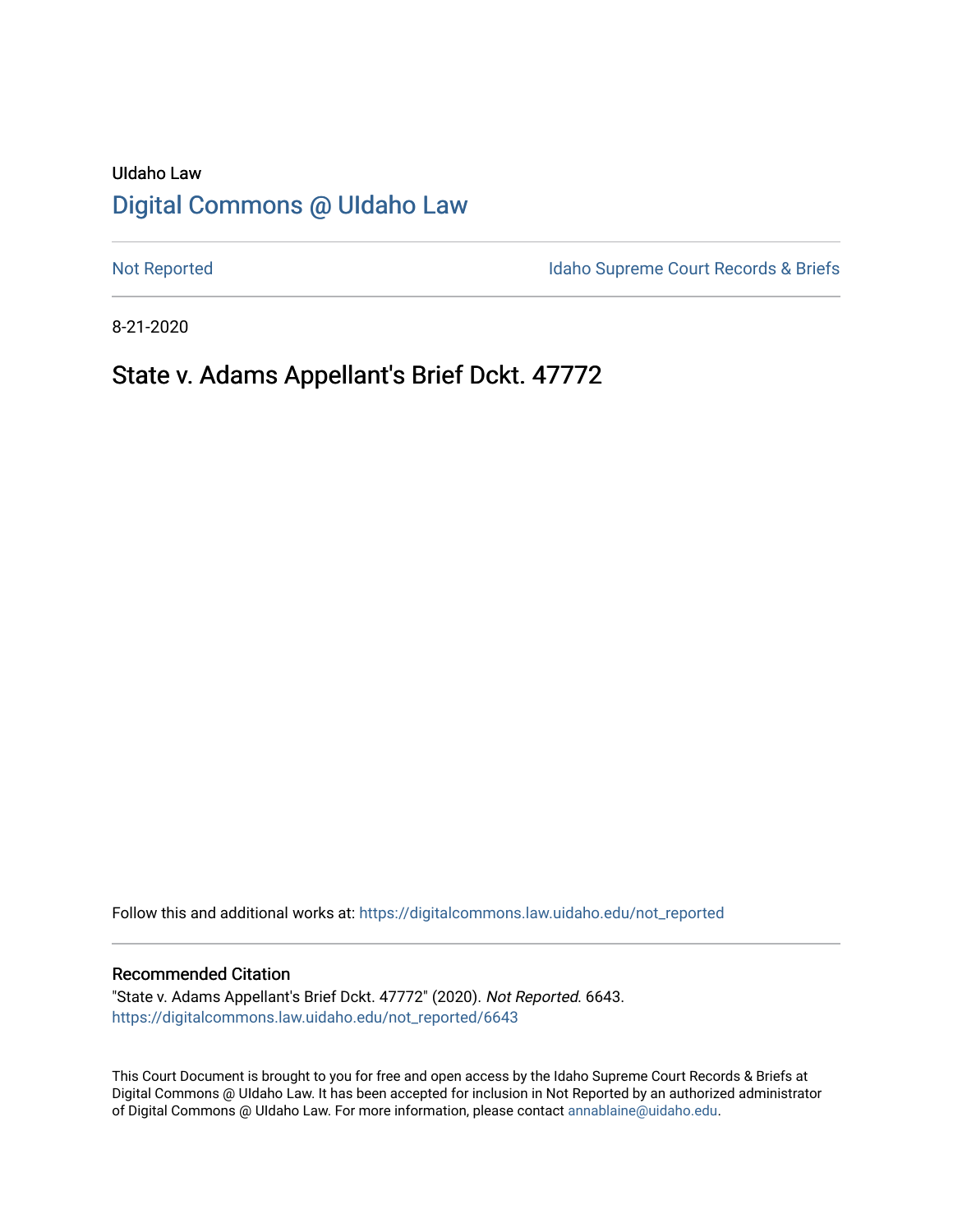# UIdaho Law [Digital Commons @ UIdaho Law](https://digitalcommons.law.uidaho.edu/)

[Not Reported](https://digitalcommons.law.uidaho.edu/not_reported) **Idaho Supreme Court Records & Briefs** 

8-21-2020

# State v. Adams Appellant's Brief Dckt. 47772

Follow this and additional works at: [https://digitalcommons.law.uidaho.edu/not\\_reported](https://digitalcommons.law.uidaho.edu/not_reported?utm_source=digitalcommons.law.uidaho.edu%2Fnot_reported%2F6643&utm_medium=PDF&utm_campaign=PDFCoverPages) 

#### Recommended Citation

"State v. Adams Appellant's Brief Dckt. 47772" (2020). Not Reported. 6643. [https://digitalcommons.law.uidaho.edu/not\\_reported/6643](https://digitalcommons.law.uidaho.edu/not_reported/6643?utm_source=digitalcommons.law.uidaho.edu%2Fnot_reported%2F6643&utm_medium=PDF&utm_campaign=PDFCoverPages)

This Court Document is brought to you for free and open access by the Idaho Supreme Court Records & Briefs at Digital Commons @ UIdaho Law. It has been accepted for inclusion in Not Reported by an authorized administrator of Digital Commons @ UIdaho Law. For more information, please contact [annablaine@uidaho.edu](mailto:annablaine@uidaho.edu).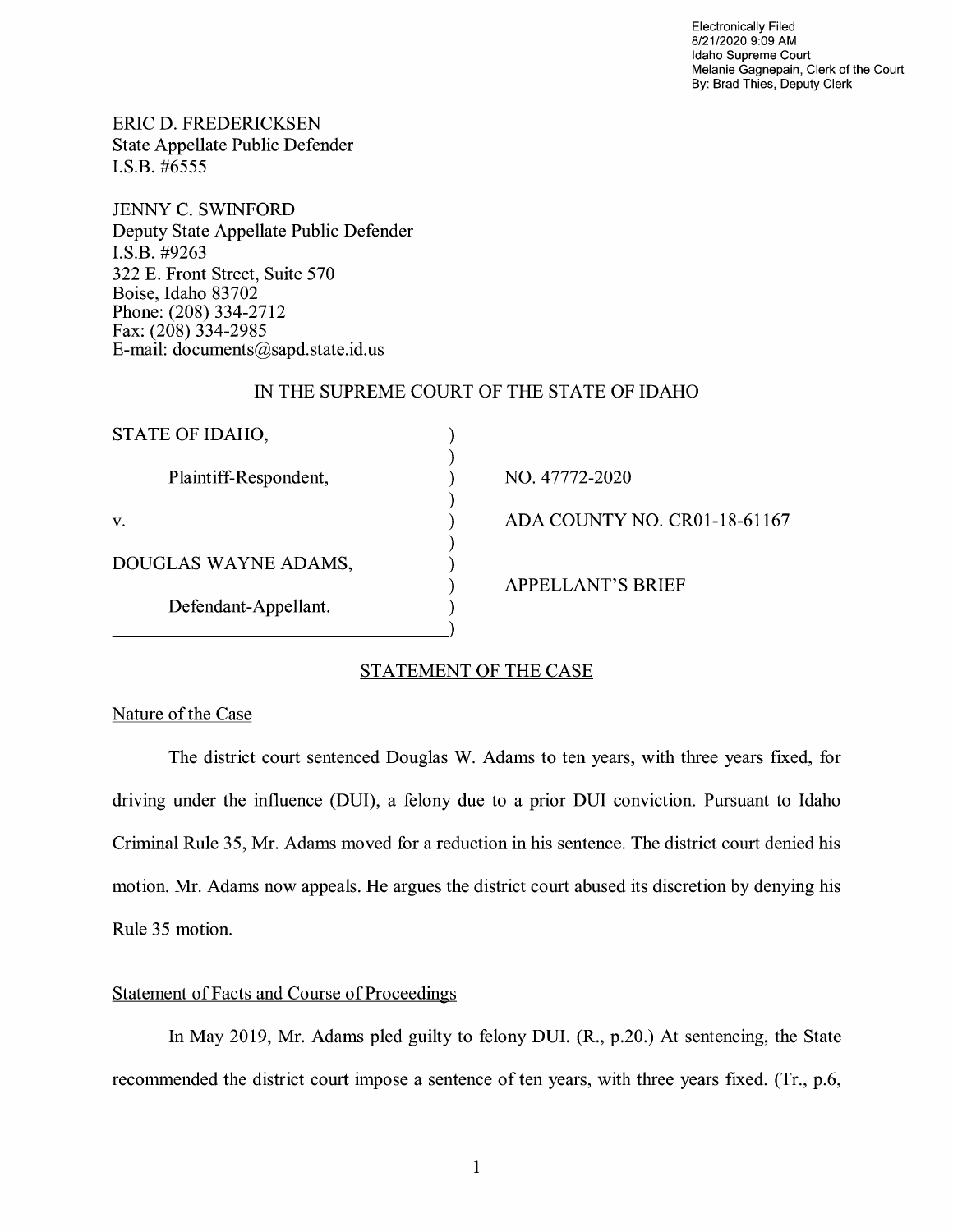Electronically Filed 8/21/2020 9:09 **AM**  Idaho Supreme Court Melanie Gagnepain, Clerk of the Court By: Brad Thies, Deputy Clerk

ERIC D. FREDERICKSEN State Appellate Public Defender I.S.B. #6555

JENNY C. SWINFORD Deputy State Appellate Public Defender I.S.B. #9263 322 E. Front Street, Suite 570 Boise, Idaho 83702 Phone: (208) 334-2712 Fax: (208) 334-2985 E-mail: documents@sapd.state.id. us

### IN THE SUPREME COURT OF THE STATE OF IDAHO

| STATE OF IDAHO,       |                              |
|-----------------------|------------------------------|
| Plaintiff-Respondent, | NO. 47772-2020               |
| V.                    | ADA COUNTY NO. CR01-18-61167 |
| DOUGLAS WAYNE ADAMS,  | <b>APPELLANT'S BRIEF</b>     |
| Defendant-Appellant.  |                              |
|                       |                              |

## STATEMENT OF THE CASE

## Nature of the Case

The district court sentenced Douglas W. Adams to ten years, with three years fixed, for driving under the influence (DUI), a felony due to a prior DUI conviction. Pursuant to Idaho Criminal Rule 35, Mr. Adams moved for a reduction in his sentence. The district court denied his motion. Mr. Adams now appeals. He argues the district court abused its discretion by denying his Rule 35 motion.

## Statement of Facts and Course of Proceedings

In May 2019, Mr. Adams pied guilty to felony DUI. (R., p.20.) At sentencing, the State recommended the district court impose a sentence of ten years, with three years fixed. (Tr., p.6,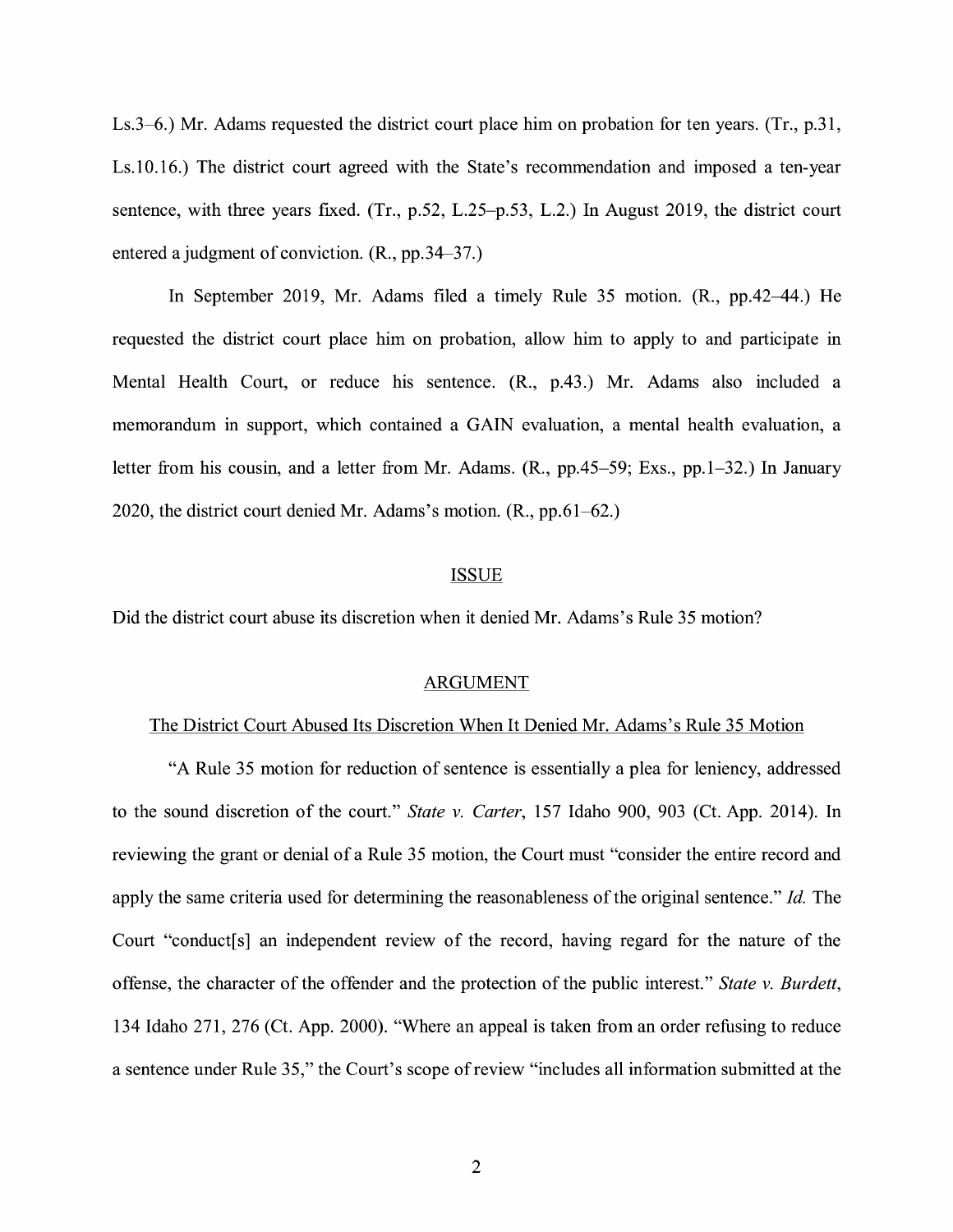Ls.3-6.) Mr. Adams requested the district court place him on probation for ten years. (Tr., p.31, Ls.10.16.) The district court agreed with the State's recommendation and imposed a ten-year sentence, with three years fixed. (Tr., p.52, L.25-p.53, L.2.) In August 2019, the district court entered a judgment of conviction. (R., pp.34-37.)

In September 2019, Mr. Adams filed a timely Rule 35 motion. **(R.,** pp.42-44.) He requested the district court place him on probation, allow him to apply to and participate in Mental Health Court, or reduce his sentence. **(R.,** p.43.) Mr. Adams also included a memorandum in support, which contained a GAIN evaluation, a mental health evaluation, a letter from his cousin, and a letter from Mr. Adams. (R., pp.45-59; Exs., pp.1-32.) In January 2020, the district court denied Mr. Adams's motion. (R., pp.61-62.)

#### ISSUE

Did the district court abuse its discretion when it denied Mr. Adams's Rule 35 motion?

#### ARGUMENT

#### The District Court Abused Its Discretion When It Denied Mr. Adams's Rule 35 Motion

"A Rule 35 motion for reduction of sentence is essentially a plea for leniency, addressed to the sound discretion of the court." *State v. Carter,* 157 Idaho 900, 903 (Ct. App. 2014). In reviewing the grant or denial of a Rule 35 motion, the Court must "consider the entire record and apply the same criteria used for determining the reasonableness of the original sentence." *Id.* The Court "conduct[s] an independent review of the record, having regard for the nature of the offense, the character of the offender and the protection of the public interest." *State v. Burdett,*  134 Idaho 271, 276 (Ct. App. 2000). "Where an appeal is taken from an order refusing to reduce a sentence under Rule 35," the Court's scope of review "includes all information submitted at the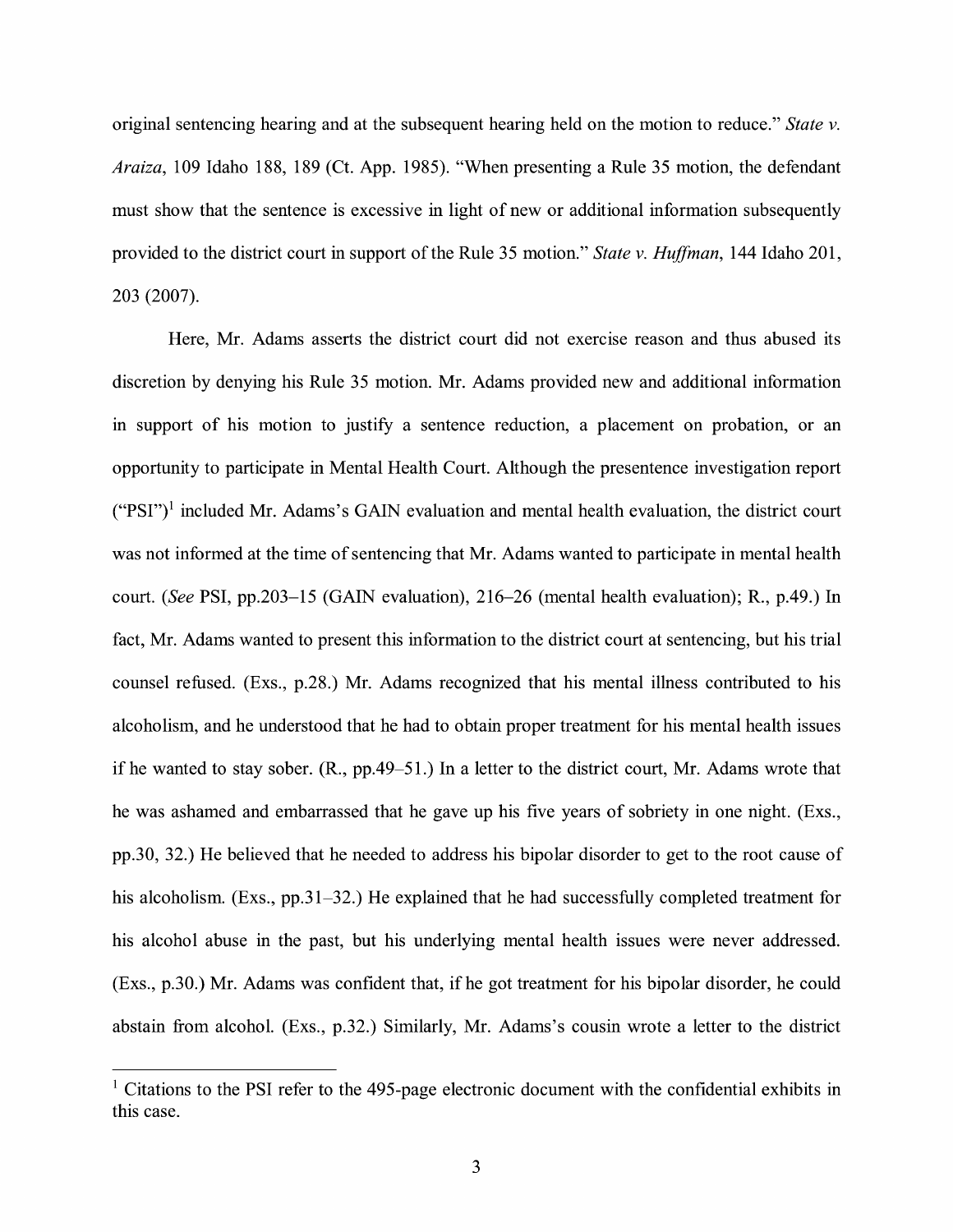original sentencing hearing and at the subsequent hearing held on the motion to reduce." *State v. Araiza,* 109 Idaho 188, 189 (Ct. App. 1985). "When presenting a Rule 35 motion, the defendant must show that the sentence is excessive in light of new or additional information subsequently provided to the district court in support of the Rule 35 motion." *State v. Huffman*, 144 Idaho 201, 203 (2007).

Here, Mr. Adams asserts the district court did not exercise reason and thus abused its discretion by denying his Rule 35 motion. Mr. Adams provided new and additional information in support of his motion to justify a sentence reduction, a placement on probation, or an opportunity to participate in Mental Health Court. Although the presentence investigation report  $("PSI")<sup>1</sup>$  included Mr. Adams's GAIN evaluation and mental health evaluation, the district court was not informed at the time of sentencing that Mr. Adams wanted to participate in mental health court. *(See* PSI, pp.203-15 (GAIN evaluation), 216-26 (mental health evaluation); R., p.49.) In fact, Mr. Adams wanted to present this information to the district court at sentencing, but his trial counsel refused. (Exs., p.28.) Mr. Adams recognized that his mental illness contributed to his alcoholism, and he understood that he had to obtain proper treatment for his mental health issues if he wanted to stay sober. (R., pp.49-51.) In a letter to the district court, Mr. Adams wrote that he was ashamed and embarrassed that he gave up his five years of sobriety in one night. (Exs., pp.30, 32.) He believed that he needed to address his bipolar disorder to get to the root cause of his alcoholism. (Exs., pp.31–32.) He explained that he had successfully completed treatment for his alcohol abuse in the past, but his underlying mental health issues were never addressed. (Exs., p.30.) Mr. Adams was confident that, ifhe got treatment for his bipolar disorder, he could abstain from alcohol. (Exs., p.32.) Similarly, Mr. Adams's cousin wrote a letter to the district

<sup>&</sup>lt;sup>1</sup> Citations to the PSI refer to the 495-page electronic document with the confidential exhibits in this case.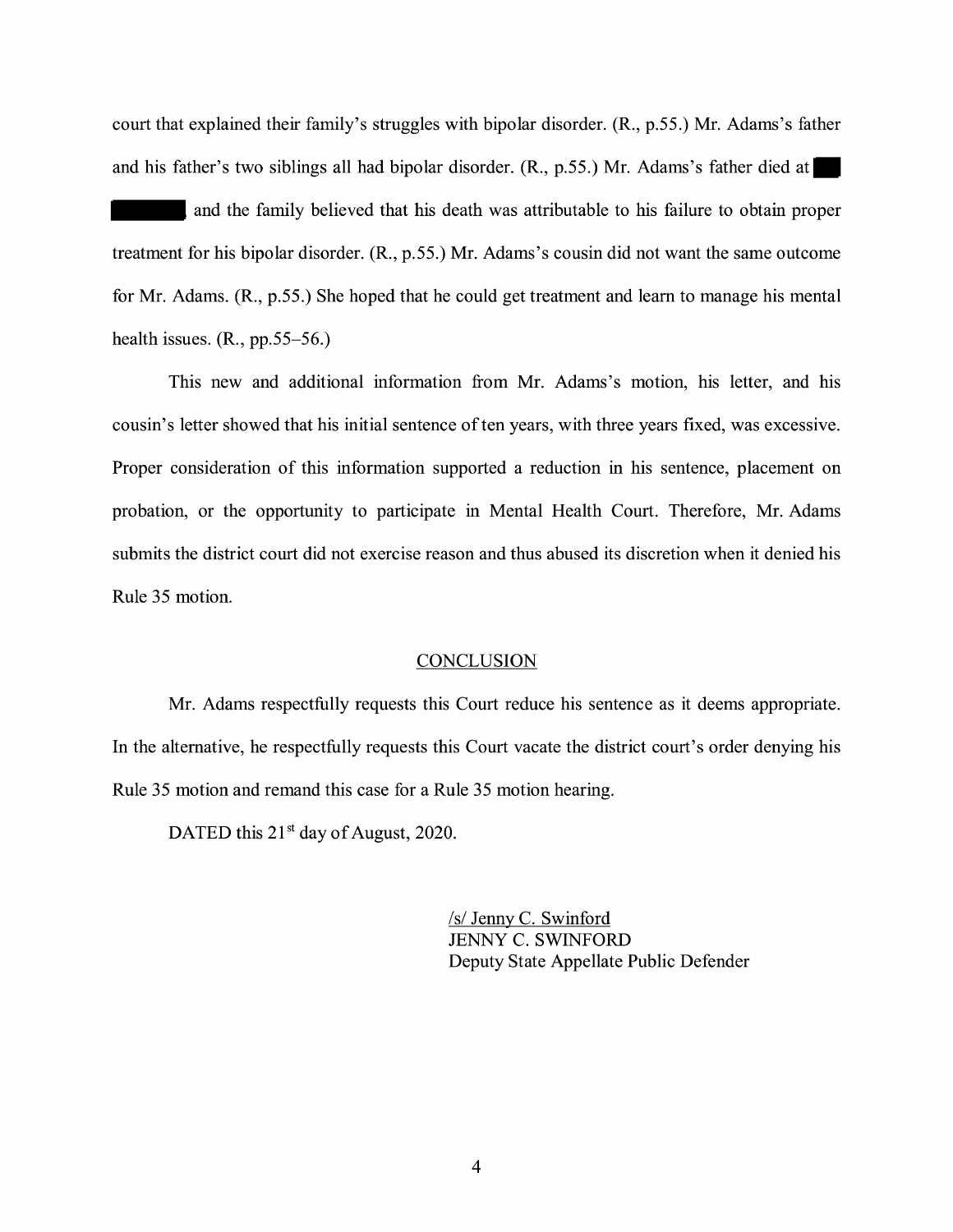court that explained their family's struggles with bipolar disorder. **(R.,** p.55.) Mr. Adams's father and his father's two siblings all had bipolar disorder. **(R.,** p.55.) Mr. Adams's father died at

and the family believed that his death was attributable to his failure to obtain proper treatment for his bipolar disorder. **(R.,** p.55.) Mr. Adams's cousin did not want the same outcome for Mr. Adams. **(R.,** p.55.) She hoped that he could get treatment and learn to manage his mental health issues. (R., pp.55-56.)

This new and additional information from Mr. Adams's motion, his letter, and his cousin's letter showed that his initial sentence of ten years, with three years fixed, was excessive. Proper consideration of this information supported a reduction in his sentence, placement on probation, or the opportunity to participate in Mental Health Court. Therefore, Mr. Adams submits the district court did not exercise reason and thus abused its discretion when it denied his Rule 35 motion.

#### **CONCLUSION**

Mr. Adams respectfully requests this Court reduce his sentence as it deems appropriate. In the alternative, he respectfully requests this Court vacate the district court's order denying his Rule 35 motion and remand this case for a Rule 35 motion hearing.

DATED this  $21<sup>st</sup>$  day of August, 2020.

/s/ Jenny C. Swinford JENNY C. SWINFORD Deputy State Appellate Public Defender